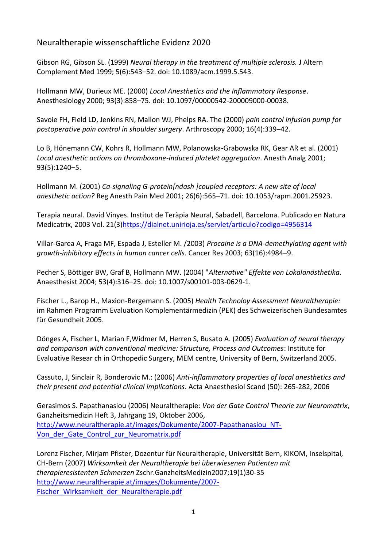Neuraltherapie wissenschaftliche Evidenz 2020

Gibson RG, Gibson SL. (1999) *Neural therapy in the treatment of multiple sclerosis.* J Altern Complement Med 1999; 5(6):543–52. doi: 10.1089/acm.1999.5.543.

Hollmann MW, Durieux ME. (2000) *Local Anesthetics and the Inflammatory Response*. Anesthesiology 2000; 93(3):858–75. doi: 10.1097/00000542-200009000-00038.

Savoie FH, Field LD, Jenkins RN, Mallon WJ, Phelps RA. The (2000) *pain control infusion pump for postoperative pain control in shoulder surgery*. Arthroscopy 2000; 16(4):339–42.

Lo B, Hönemann CW, Kohrs R, Hollmann MW, Polanowska-Grabowska RK, Gear AR et al. (2001) *Local anesthetic actions on thromboxane-induced platelet aggregation*. Anesth Analg 2001; 93(5):1240–5.

Hollmann M. (2001) *Ca-signaling G-protein[ndash ]coupled receptors: A new site of local anesthetic action?* Reg Anesth Pain Med 2001; 26(6):565–71. doi: 10.1053/rapm.2001.25923.

Terapia neural. David Vinyes. Institut de Teràpia Neural, Sabadell, Barcelona. Publicado en Natura Medicatrix, 2003 Vol. 21(3[\)https://dialnet.unirioja.es/servlet/articulo?codigo=4956314](https://dialnet.unirioja.es/servlet/articulo?codigo=4956314)

Villar-Garea A, Fraga MF, Espada J, Esteller M. /2003) *Procaine is a DNA-demethylating agent with growth-inhibitory effects in human cancer cells*. Cancer Res 2003; 63(16):4984–9.

Pecher S, Böttiger BW, Graf B, Hollmann MW. (2004) "*Alternative" Effekte von Lokalanästhetika.* Anaesthesist 2004; 53(4):316–25. doi: 10.1007/s00101-003-0629-1.

Fischer L., Barop H., Maxion-Bergemann S. (2005) *Health Technoloy Assessment Neuraltherapie:* im Rahmen Programm Evaluation Komplementärmedizin (PEK) des Schweizerischen Bundesamtes für Gesundheit 2005.

Dönges A, Fischer L, Marian F,Widmer M, Herren S, Busato A. (2005) *Evaluation of neural therapy and comparison with conventional medicine: Structure, Process and Outcomes*: Institute for Evaluative Resear ch in Orthopedic Surgery, MEM centre, University of Bern, Switzerland 2005.

Cassuto, J, [Sinclair R,](https://www.ncbi.nlm.nih.gov/pubmed/?term=Sinclair%20R%5BAuthor%5D&cauthor=true&cauthor_uid=16480459) [Bonderovic](https://www.ncbi.nlm.nih.gov/pubmed/?term=Bonderovic%20M%5BAuthor%5D&cauthor=true&cauthor_uid=16480459) M.: (2006) *Anti-inflammatory properties of local anesthetics and their present and potential clinical implications*. Acta Anaesthesiol Scand (50): 265-282, 2006

Gerasimos S. Papathanasiou (2006) Neuraltherapie: *Von der Gate Control Theorie zur Neuromatrix*, Ganzheitsmedizin Heft 3, Jahrgang 19, Oktober 2006, [http://www.neuraltherapie.at/images/Dokumente/2007-Papathanasiou\\_NT-](http://www.neuraltherapie.at/images/Dokumente/2007-Papathanasiou_NT-Von_der_Gate_Control_zur_Neuromatrix.pdf)Von der Gate Control zur Neuromatrix.pdf

Lorenz Fischer, Mirjam Pfister, Dozentur für Neuraltherapie, Universität Bern, KIKOM, Inselspital, CH-Bern (2007) *Wirksamkeit der Neuraltherapie bei überwiesenen Patienten mit therapieresistenten Schmerzen* Zschr.GanzheitsMedizin2007;19(1)30-35 [http://www.neuraltherapie.at/images/Dokumente/2007-](http://www.neuraltherapie.at/images/Dokumente/2007-Fischer_Wirksamkeit_der_Neuraltherapie.pdf) [Fischer\\_Wirksamkeit\\_der\\_Neuraltherapie.pdf](http://www.neuraltherapie.at/images/Dokumente/2007-Fischer_Wirksamkeit_der_Neuraltherapie.pdf)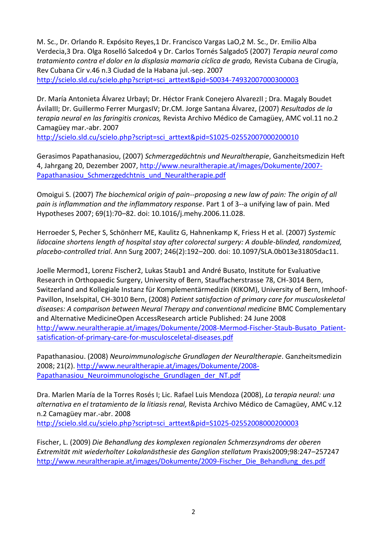M. Sc., Dr. Orlando R. Expósito Reyes,1 Dr. Francisco Vargas LaO,2 M. Sc., Dr. Emilio Alba Verdecia,3 Dra. Olga Roselló Salcedo4 y Dr. Carlos Tornés Salgado5 (2007) *Terapia neural como tratamiento contra el dolor en la displasia mamaria cíclica de grado,* Revista Cubana de Cirugía, Rev Cubana Cir v.46 n.3 Ciudad de la Habana jul.-sep. 2007 [http://scielo.sld.cu/scielo.php?script=sci\\_arttext&pid=S0034-74932007000300003](http://scielo.sld.cu/scielo.php?script=sci_arttext&pid=S0034-74932007000300003)

Dr. María Antonieta Álvarez UrbayI; Dr. Héctor Frank Conejero AlvarezII ; Dra. Magaly Boudet ÁvilaIII; Dr. Guillermo Ferrer MurgasIV; Dr.CM. Jorge Santana Álvarez, (2007) *Resultados de la terapia neural en las faringitis cronicas,* Revista Archivo Médico de Camagüey, AMC vol.11 no.2 Camagüey mar.-abr. 2007

[http://scielo.sld.cu/scielo.php?script=sci\\_arttext&pid=S1025-02552007000200010](http://scielo.sld.cu/scielo.php?script=sci_arttext&pid=S1025-02552007000200010)

Gerasimos Papathanasiou, (2007) *Schmerzgedächtnis und Neuraltherapie*, Ganzheitsmedizin Heft 4, Jahrgang 20, Dezember 2007, [http://www.neuraltherapie.at/images/Dokumente/2007-](http://www.neuraltherapie.at/images/Dokumente/2007-Papathanasiou_Schmerzgedchtnis_und_Neuraltherapie.pdf) Papathanasiou Schmerzgedchtnis\_und\_Neuraltherapie.pdf

Omoigui S. (2007) *The biochemical origin of pain--proposing a new law of pain: The origin of all pain is inflammation and the inflammatory response*. Part 1 of 3--a unifying law of pain. Med Hypotheses 2007; 69(1):70–82. doi: 10.1016/j.mehy.2006.11.028.

Herroeder S, Pecher S, Schönherr ME, Kaulitz G, Hahnenkamp K, Friess H et al. (2007) *Systemic lidocaine shortens length of hospital stay after colorectal surgery: A double-blinded, randomized, placebo-controlled trial*. Ann Surg 2007; 246(2):192–200. doi: 10.1097/SLA.0b013e31805dac11.

Joelle Mermod1, Lorenz Fischer2, Lukas Staub1 and André Busato, Institute for Evaluative Research in Orthopaedic Surgery, University of Bern, Stauffacherstrasse 78, CH-3014 Bern, Switzerland and Kollegiale Instanz für Komplementärmedizin (KIKOM), University of Bern, Imhoof-Pavillon, Inselspital, CH-3010 Bern, (2008) *Patient satisfaction of primary care for musculoskeletal diseases: A comparison between Neural Therapy and conventional medicine* BMC Complementary and Alternative MedicineOpen AccessResearch article Published: 24 June 2008 [http://www.neuraltherapie.at/images/Dokumente/2008-Mermod-Fischer-Staub-Busato\\_Patient](http://www.neuraltherapie.at/images/Dokumente/2008-Mermod-Fischer-Staub-Busato_Patient-satisfication-of-primary-care-for-musculosceletal-diseases.pdf)[satisfication-of-primary-care-for-musculosceletal-diseases.pdf](http://www.neuraltherapie.at/images/Dokumente/2008-Mermod-Fischer-Staub-Busato_Patient-satisfication-of-primary-care-for-musculosceletal-diseases.pdf)

Papathanasiou. (2008) *Neuroimmunologische Grundlagen der Neuraltherapie*. Ganzheitsmedizin 2008; 21(2). [http://www.neuraltherapie.at/images/Dokumente/2008-](http://www.neuraltherapie.at/images/Dokumente/2008-Papathanasiou_Neuroimmunologische_Grundlagen_der_NT.pdf) Papathanasiou Neuroimmunologische Grundlagen der NT.pdf

Dra. Marlen María de la Torres Rosés I; Lic. Rafael Luis Mendoza (2008), *La terapia neural: una alternativa en el tratamiento de la litiasis renal,* Revista Archivo Médico de Camagüey, AMC v.12 n.2 Camagüey mar.-abr. 2008 [http://scielo.sld.cu/scielo.php?script=sci\\_arttext&pid=S1025-02552008000200003](http://scielo.sld.cu/scielo.php?script=sci_arttext&pid=S1025-02552008000200003)

Fischer, L. (2009) *Die Behandlung des komplexen regionalen Schmerzsyndroms der oberen Extremität mit wiederholter Lokalanästhesie des Ganglion stellatum* Praxis2009;98:247–257247 [http://www.neuraltherapie.at/images/Dokumente/2009-Fischer\\_Die\\_Behandlung\\_des.pdf](http://www.neuraltherapie.at/images/Dokumente/2009-Fischer_Die_Behandlung_des.pdf)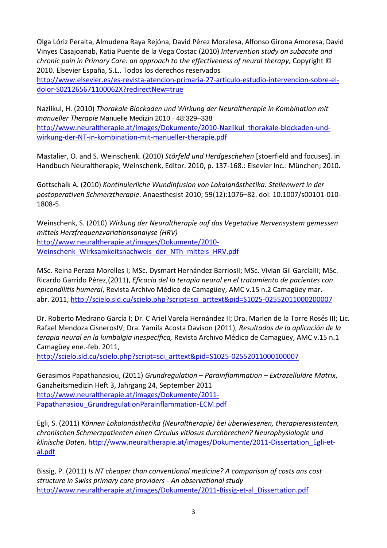Olga Lóriz Peralta, Almudena Raya Rejóna, David Pérez Moralesa, Alfonso Girona Amoresa, David Vinyes Casajoanab, Katia Puente de la Vega Costac (2010) *Intervention study on subacute and chronic pain in Primary Care: an approach to the effectiveness of neural therapy,* Copyright © 2010. Elsevier España, S.L.. Todos los derechos reservados

[http://www.elsevier.es/es-revista-atencion-primaria-27-articulo-estudio-intervencion-sobre-el](http://www.elsevier.es/es-revista-atencion-primaria-27-articulo-estudio-intervencion-sobre-el-dolor-S021265671100062X?redirectNew=true)[dolor-S021265671100062X?redirectNew=true](http://www.elsevier.es/es-revista-atencion-primaria-27-articulo-estudio-intervencion-sobre-el-dolor-S021265671100062X?redirectNew=true)

Nazlikul, H. (2010) *Thorakale Blockaden und Wirkung der Neuraltherapie in Kombination mit manueller Therapie* Manuelle Medizin 2010 · 48:329–338 [http://www.neuraltherapie.at/images/Dokumente/2010-Nazlikul\\_thorakale-blockaden-und](http://www.neuraltherapie.at/images/Dokumente/2010-Nazlikul_thorakale-blockaden-und-wirkung-der-NT-in-kombination-mit-manueller-therapie.pdf)[wirkung-der-NT-in-kombination-mit-manueller-therapie.pdf](http://www.neuraltherapie.at/images/Dokumente/2010-Nazlikul_thorakale-blockaden-und-wirkung-der-NT-in-kombination-mit-manueller-therapie.pdf)

Mastalier, O. and S. Weinschenk. (2010) *Störfeld und Herdgeschehen* [stoerfield and focuses]. in Handbuch Neuraltherapie, Weinschenk, Editor. 2010, p. 137-168.: Elsevier Inc.: München; 2010.

Gottschalk A. (2010) *Kontinuierliche Wundinfusion von Lokalanästhetika: Stellenwert in der postoperativen Schmerztherapie*. Anaesthesist 2010; 59(12):1076–82. doi: 10.1007/s00101-010- 1808-5.

Weinschenk, S. (2010) *Wirkung der Neuraltherapie auf das Vegetative Nervensystem gemessen mittels Herzfrequenzvariationsanalyse (HRV)* [http://www.neuraltherapie.at/images/Dokumente/2010-](http://www.neuraltherapie.at/images/Dokumente/2010-Weinschenk_Wirksamkeitsnachweis_der_NTh_mittels_HRV.pdf) Weinschenk Wirksamkeitsnachweis der NTh\_mittels\_HRV.pdf

MSc. Reina Peraza Morelles I; MSc. Dysmart Hernández BarriosII; MSc. Vivian Gil GarcíaIII; MSc. Ricardo Garrido Pérez,(2011), *Eficacia del la terapia neural en el tratamiento de pacientes con epicondilitis humeral*, [Revista Archivo Médico de Camagüey,](http://scielo.sld.cu/scielo.php?script=sci_serial&pid=1025-0255&lng=es&nrm=iso) AMC v.15 n.2 Camagüey mar.- abr. 2011[, http://scielo.sld.cu/scielo.php?script=sci\\_arttext&pid=S1025-02552011000200007](http://scielo.sld.cu/scielo.php?script=sci_arttext&pid=S1025-02552011000200007)

Dr. Roberto Medrano García I; Dr. C Ariel Varela Hernández II; Dra. Marlen de la Torre Rosés III; Lic. Rafael Mendoza CisnerosIV; Dra. Yamila Acosta Davison (2011), *Resultados de la aplicación de la terapia neural en la lumbalgia inespecífica,* Revista Archivo Médico de Camagüey, AMC v.15 n.1 Camagüey ene.-feb. 2011,

[http://scielo.sld.cu/scielo.php?script=sci\\_arttext&pid=S1025-02552011000100007](http://scielo.sld.cu/scielo.php?script=sci_arttext&pid=S1025-02552011000100007)

Gerasimos Papathanasiou, (2011) *Grundregulation – Parainflammation – Extrazelluläre Matrix*, Ganzheitsmedizin Heft 3, Jahrgang 24, September 2011 [http://www.neuraltherapie.at/images/Dokumente/2011-](http://www.neuraltherapie.at/images/Dokumente/2011-Papathanasiou_GrundregulationParainflammation-ECM.pdf) [Papathanasiou\\_GrundregulationParainflammation-ECM.pdf](http://www.neuraltherapie.at/images/Dokumente/2011-Papathanasiou_GrundregulationParainflammation-ECM.pdf)

Egli, S. (2011) *Können Lokalanästhetika (Neuraltherapie) bei überwiesenen, therapieresistenten, chronischen Schmerzpatienten einen Circulus vitiosus durchbrechen? Neurophysiologie und klinische Daten*. [http://www.neuraltherapie.at/images/Dokumente/2011-Dissertation\\_Egli-et](http://www.neuraltherapie.at/images/Dokumente/2011-Dissertation_Egli-et-al.pdf)[al.pdf](http://www.neuraltherapie.at/images/Dokumente/2011-Dissertation_Egli-et-al.pdf)

Bissig, P. (2011) *Is NT cheaper than conventional medicine? A comparison of costs ans cost structure in Swiss primary care providers - An observational study* [http://www.neuraltherapie.at/images/Dokumente/2011-Bissig-et-al\\_Dissertation.pdf](http://www.neuraltherapie.at/images/Dokumente/2011-Bissig-et-al_Dissertation.pdf)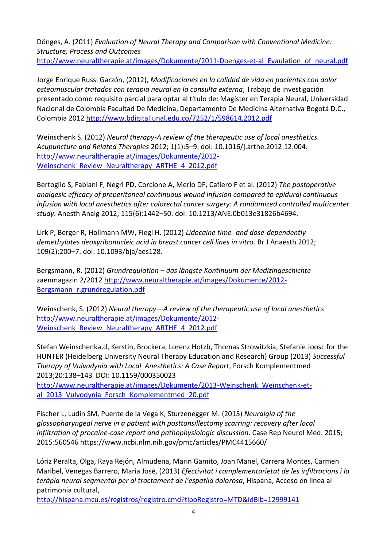Dönges, A. (2011) *Evaluation of Neural Therapy and Comparison with Conventional Medicine: Structure, Process and Outcomes* http://www.neuraltherapie.at/images/Dokumente/2011-Doenges-et-al Evaulation of neural.pdf

Jorge Enrique Russi Garzón, (2012), *Modificaciones en la calidad de vida en pacientes con dolor osteomuscular tratados con terapia neural en la consulta externa*, Trabajo de investigación presentado como requisito parcial para optar al título de: Magíster en Terapia Neural, Universidad Nacional de Colombia Facultad De Medicina, Departamento De Medicina Alternativa Bogotá D.C., Colombia 2012 <http://www.bdigital.unal.edu.co/7252/1/598614.2012.pdf>

Weinschenk S. (2012) *Neural therapy-A review of the therapeutic use of local anesthetics. Acupuncture and Related Therapies* 2012; 1(1):5–9. doi: 10.1016/j.arthe.2012.12.004. [http://www.neuraltherapie.at/images/Dokumente/2012-](http://www.neuraltherapie.at/images/Dokumente/2012-Weinschenk_Review_Neuraltherapy_ARTHE_4_2012.pdf) Weinschenk Review Neuraltherapy ARTHE 4 2012.pdf

Bertoglio S, Fabiani F, Negri PD, Corcione A, Merlo DF, Cafiero F et al. (2012) *The postoperative analgesic efficacy of preperitoneal continuous wound infusion compared to epidural continuous infusion with local anesthetics after colorectal cancer surgery: A randomized controlled multicenter study*. Anesth Analg 2012; 115(6):1442–50. doi: 10.1213/ANE.0b013e31826b4694.

Lirk P, Berger R, Hollmann MW, Fiegl H. (2012) *Lidocaine time- and dose-dependently demethylates deoxyribonucleic acid in breast cancer cell lines in vitro*. Br J Anaesth 2012; 109(2):200–7. doi: 10.1093/bja/aes128.

Bergsmann, R. (2012) *Grundregulation – das längste Kontinuum der Medizingeschichte* zaenmagazin 2/2012 [http://www.neuraltherapie.at/images/Dokumente/2012-](http://www.neuraltherapie.at/images/Dokumente/2012-Bergsmann_r.grundregulation.pdf) [Bergsmann\\_r.grundregulation.pdf](http://www.neuraltherapie.at/images/Dokumente/2012-Bergsmann_r.grundregulation.pdf)

Weinschenk, S. (2012) *Neural therapy—A review of the therapeutic use of local anesthetics* [http://www.neuraltherapie.at/images/Dokumente/2012-](http://www.neuraltherapie.at/images/Dokumente/2012-Weinschenk_Review_Neuraltherapy_ARTHE_4_2012.pdf) Weinschenk Review Neuraltherapy ARTHE 4 2012.pdf

Stefan Weinschenka,d, Kerstin, Brockera, Lorenz Hotzb, Thomas Strowitzkia, Stefanie Joosc for the HUNTER (Heidelberg University Neural Therapy Education and Research) Group (2013) *Successful Therapy of Vulvodynia with Local Anesthetics: A Case Report*, Forsch Komplementmed 2013;20:138–143 DOI: 10.1159/000350023

[http://www.neuraltherapie.at/images/Dokumente/2013-Weinschenk\\_Weinschenk-et](http://www.neuraltherapie.at/images/Dokumente/2013-Weinschenk_Weinschenk-et-al_2013_Vulvodynia_Forsch_Komplementmed_20.pdf)al 2013 Vulvodynia Forsch Komplementmed 20.pdf

Fischer L, Ludin SM, Puente de la Vega K, Sturzenegger M. (2015) *Neuralgia of the glossopharyngeal nerve in a patient with posttonsillectomy scarring: recovery after local infiltration of procaine-case report and pathophysiologic discussion*. Case Rep Neurol Med. 2015; 2015:560546 https://www.ncbi.nlm.nih.gov/pmc/articles/PMC4415660/

Lóriz Peralta, Olga, Raya Rejón, Almudena, Marin Gamito, Joan Manel, Carrera Montes, Carmen Maribel, Venegas Barrero, Maria José, (2013) *Efectivitat i complementarietat de les infiltracions i la teràpia neural segmental per al tractament de l'espatlla dolorosa*, Hispana, Acceso en linea al patrimonia cultural,

<http://hispana.mcu.es/registros/registro.cmd?tipoRegistro=MTD&idBib=12999141>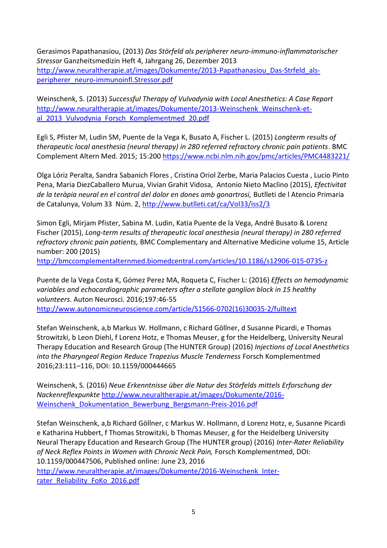Gerasimos Papathanasiou, (2013) *Das Störfeld als peripherer neuro-immuno-inflammatorischer Stressor* Ganzheitsmedizin Heft 4, Jahrgang 26, Dezember 2013 [http://www.neuraltherapie.at/images/Dokumente/2013-Papathanasiou\\_Das-Strfeld\\_als](http://www.neuraltherapie.at/images/Dokumente/2013-Papathanasiou_Das-Strfeld_als-peripherer_neuro-immunoinfl.Stressor.pdf)[peripherer\\_neuro-immunoinfl.Stressor.pdf](http://www.neuraltherapie.at/images/Dokumente/2013-Papathanasiou_Das-Strfeld_als-peripherer_neuro-immunoinfl.Stressor.pdf)

Weinschenk, S. (2013) *Successful Therapy of Vulvodynia with Local Anesthetics: A Case Report* [http://www.neuraltherapie.at/images/Dokumente/2013-Weinschenk\\_Weinschenk-et](http://www.neuraltherapie.at/images/Dokumente/2013-Weinschenk_Weinschenk-et-al_2013_Vulvodynia_Forsch_Komplementmed_20.pdf)al 2013 Vulvodynia Forsch Komplementmed 20.pdf

Egli S, Pfister M, Ludin SM, Puente de la Vega K, Busato A, Fischer L. (2015) *Longterm results of therapeutic local anesthesia (neural therapy) in 280 referred refractory chronic pain patients*. BMC Complement Altern Med. 2015; 15:200<https://www.ncbi.nlm.nih.gov/pmc/articles/PMC4483221/>

Olga Lóriz Peralta, Sandra Sabanich Flores , Cristina Oriol Zerbe, Maria Palacios Cuesta , Lucio Pinto Pena, Maria DiezCaballero Murua, Vivian Grahit Vidosa, Antonio Nieto Maclino (2015), *Efectivitat de la teràpia neural en el control del dolor en dones amb gonartrosi,* Butlleti de l Atencio Primaria de Catalunya, Volum 33 Núm. 2,<http://www.butlleti.cat/ca/Vol33/iss2/3>

Simon Egli, Mirjam Pfister, Sabina M. Ludin, Katia Puente de la Vega, André Busato & Lorenz Fischer (2015), *Long-term results of therapeutic local anesthesia (neural therapy) in 280 referred refractory chronic pain patients,* BMC Complementary and Alternative Medicine volume 15, Article number: 200 (2015)

<http://bmccomplementalternmed.biomedcentral.com/articles/10.1186/s12906-015-0735-z>

Puente de la Vega Costa K, Gómez Perez MA, Roqueta C, Fischer L: (2016) *Effects on hemodynamic variables and echocardiographic parameters after a stellate ganglion block in 15 healthy volunteers*. Auton Neurosci. 2016;197:46-55 [http://www.autonomicneuroscience.com/article/S1566-0702\(16\)30035-2/fulltext](http://www.autonomicneuroscience.com/article/S1566-0702(16)30035-2/fulltext)

Stefan Weinschenk, a,b Markus W. Hollmann, c Richard Göllner, d Susanne Picardi, e Thomas Strowitzki, b Leon Diehl, f Lorenz Hotz, e Thomas Meuser, g for the Heidelberg, University Neural Therapy Education and Research Group (The HUNTER Group) (2016) *Injections of Local Anesthetics into the Pharyngeal Region Reduce Trapezius Muscle Tenderness* Forsch Komplementmed 2016;23:111–116, DOI: 10.1159/000444665

Weinschenk, S. (2016) *Neue Erkenntnisse über die Natur des Störfelds mittels Erforschung der Nackenreflexpunkte* [http://www.neuraltherapie.at/images/Dokumente/2016-](http://www.neuraltherapie.at/images/Dokumente/2016-Weinschenk_Dokumentation_Bewerbung_Bergsmann-Preis-2016.pdf) [Weinschenk\\_Dokumentation\\_Bewerbung\\_Bergsmann-Preis-2016.pdf](http://www.neuraltherapie.at/images/Dokumente/2016-Weinschenk_Dokumentation_Bewerbung_Bergsmann-Preis-2016.pdf)

Stefan Weinschenk, a,b Richard Göllner, c Markus W. Hollmann, d Lorenz Hotz, e, Susanne Picardi e Katharina Hubbert, f Thomas Strowitzki, b Thomas Meuser, g for the Heidelberg University Neural Therapy Education and Research Group (The HUNTER group) (2016) *Inter-Rater Reliability of Neck Reflex Points in Women with Chronic Neck Pain,* Forsch Komplementmed, DOI: 10.1159/000447506, Published online: June 23, 2016 [http://www.neuraltherapie.at/images/Dokumente/2016-Weinschenk\\_Inter](http://www.neuraltherapie.at/images/Dokumente/2016-Weinschenk_Inter-rater_Reliability_FoKo_2016.pdf)[rater\\_Reliability\\_FoKo\\_2016.pdf](http://www.neuraltherapie.at/images/Dokumente/2016-Weinschenk_Inter-rater_Reliability_FoKo_2016.pdf)